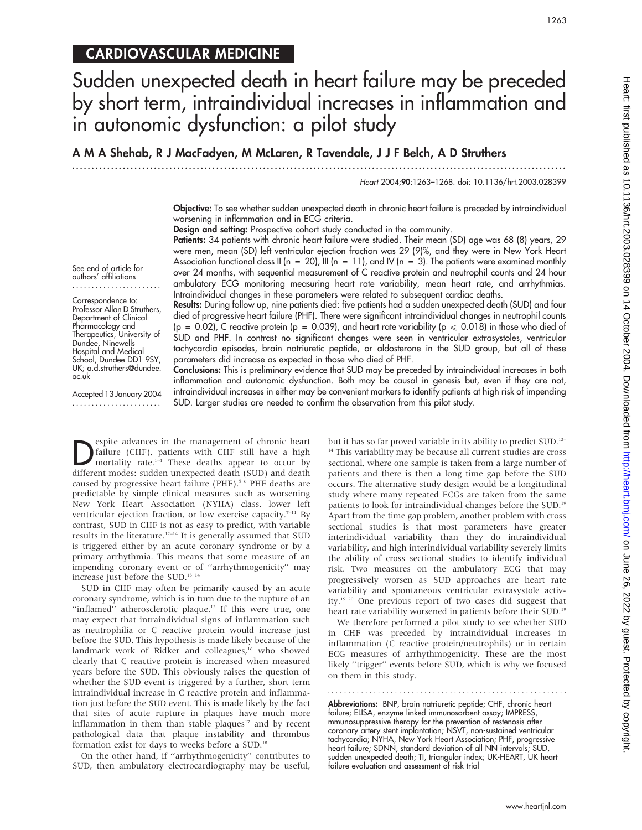# CARDIOVASCULAR MEDICINE

# Sudden unexpected death in heart failure may be preceded by short term, intraindividual increases in inflammation and in autonomic dysfunction: a pilot study

A M A Shehab, R J MacFadyen, M McLaren, R Tavendale, J J F Belch, A D Struthers

...............................................................................................................................

Heart 2004;90:1263–1268. doi: 10.1136/hrt.2003.028399

Objective: To see whether sudden unexpected death in chronic heart failure is preceded by intraindividual worsening in inflammation and in ECG criteria.

Design and setting: Prospective cohort study conducted in the community.

Patients: 34 patients with chronic heart failure were studied. Their mean (SD) age was 68 (8) years, 29 were men, mean (SD) left ventricular ejection fraction was 29 (9)%, and they were in New York Heart Association functional class II (n = 20), III (n = 11), and IV (n = 3). The patients were examined monthly over 24 months, with sequential measurement of C reactive protein and neutrophil counts and 24 hour ambulatory ECG monitoring measuring heart rate variability, mean heart rate, and arrhythmias. Intraindividual changes in these parameters were related to subsequent cardiac deaths.

Results: During follow up, nine patients died: five patients had a sudden unexpected death (SUD) and four died of progressive heart failure (PHF). There were significant intraindividual changes in neutrophil counts (p = 0.02), C reactive protein (p = 0.039), and heart rate variability (p  $\leq$  0.018) in those who died of SUD and PHF. In contrast no significant changes were seen in ventricular extrasystoles, ventricular tachycardia episodes, brain natriuretic peptide, or aldosterone in the SUD group, but all of these parameters did increase as expected in those who died of PHF.

Conclusions: This is preliminary evidence that SUD may be preceded by intraindividual increases in both inflammation and autonomic dysfunction. Both may be causal in genesis but, even if they are not, intraindividual increases in either may be convenient markers to identify patients at high risk of impending SUD. Larger studies are needed to confirm the observation from this pilot study.

Sepite advances in the management of chronic heart<br>failure (CHF), patients with CHF still have a high<br>mortality rate.<sup>1-4</sup> These deaths appear to occur by<br>different modes: sudden unexpected death (SUD) and death failure (CHF), patients with CHF still have a high mortality rate. $1-4$  These deaths appear to occur by different modes: sudden unexpected death (SUD) and death caused by progressive heart failure (PHF).<sup>5 6</sup> PHF deaths are predictable by simple clinical measures such as worsening New York Heart Association (NYHA) class, lower left ventricular ejection fraction, or low exercise capacity.<sup>7-11</sup> By contrast, SUD in CHF is not as easy to predict, with variable results in the literature.<sup>12-14</sup> It is generally assumed that SUD is triggered either by an acute coronary syndrome or by a primary arrhythmia. This means that some measure of an impending coronary event or of ''arrhythmogenicity'' may increase just before the SUD.13 14

SUD in CHF may often be primarily caused by an acute coronary syndrome, which is in turn due to the rupture of an "inflamed" atherosclerotic plaque.<sup>15</sup> If this were true, one may expect that intraindividual signs of inflammation such as neutrophilia or C reactive protein would increase just before the SUD. This hypothesis is made likely because of the landmark work of Ridker and colleagues,<sup>16</sup> who showed clearly that C reactive protein is increased when measured years before the SUD. This obviously raises the question of whether the SUD event is triggered by a further, short term intraindividual increase in C reactive protein and inflammation just before the SUD event. This is made likely by the fact that sites of acute rupture in plaques have much more inflammation in them than stable plaques $17$  and by recent pathological data that plaque instability and thrombus formation exist for days to weeks before a SUD.<sup>18</sup>

On the other hand, if ''arrhythmogenicity'' contributes to SUD, then ambulatory electrocardiography may be useful, but it has so far proved variable in its ability to predict SUD.<sup>12-</sup> <sup>14</sup> This variability may be because all current studies are cross sectional, where one sample is taken from a large number of patients and there is then a long time gap before the SUD occurs. The alternative study design would be a longitudinal study where many repeated ECGs are taken from the same patients to look for intraindividual changes before the SUD.<sup>19</sup> Apart from the time gap problem, another problem with cross sectional studies is that most parameters have greater interindividual variability than they do intraindividual variability, and high interindividual variability severely limits the ability of cross sectional studies to identify individual risk. Two measures on the ambulatory ECG that may progressively worsen as SUD approaches are heart rate variability and spontaneous ventricular extrasystole activity.19 20 One previous report of two cases did suggest that heart rate variability worsened in patients before their SUD.<sup>19</sup>

We therefore performed a pilot study to see whether SUD in CHF was preceded by intraindividual increases in inflammation (C reactive protein/neutrophils) or in certain ECG measures of arrhythmogenicity. These are the most likely ''trigger'' events before SUD, which is why we focused on them in this study.

Abbreviations: BNP, brain natriuretic peptide; CHF, chronic heart failure; ELISA, enzyme linked immunosorbent assay; IMPRESS, mmunosuppressive therapy for the prevention of restenosis after coronary artery stent implantation; NSVT, non-sustained ventricular tachycardia; NYHA, New York Heart Association; PHF, progressive heart failure; SDNN, standard deviation of all NN intervals; SUD, sudden unexpected death; TI, triangular index; UK-HEART, UK heart failure evaluation and assessment of risk trial

#### www.heartjnl.com

See end of article for authors' affiliations .......................

Correspondence to: Professor Allan D Struthers, Department of Clinical Pharmacology and Therapeutics, University of Dundee, Ninewells Hospital and Medical School, Dundee DD1 9SY, UK; a.d.struthers@dundee. ac.uk

Accepted 13 January 2004 .......................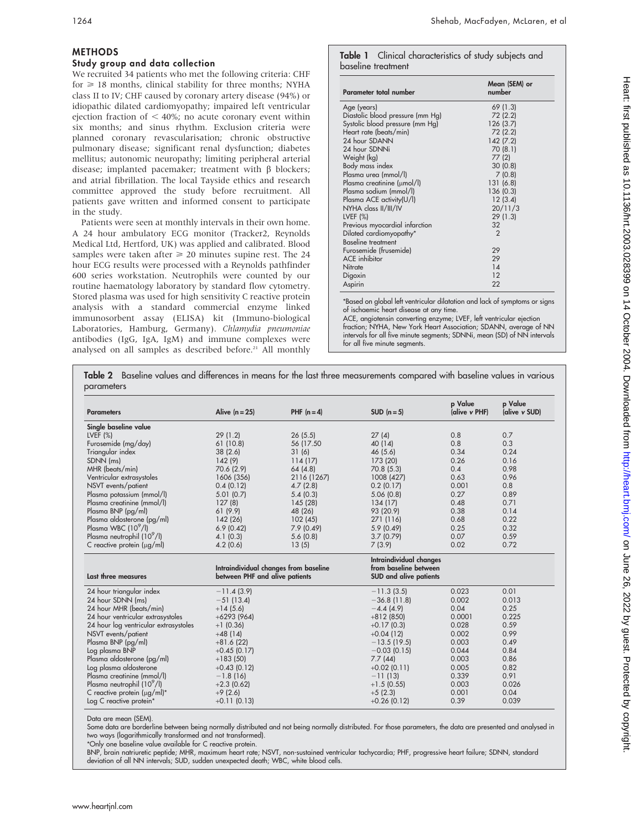# METHODS

# Study group and data collection

We recruited 34 patients who met the following criteria: CHF for  $\geq$  18 months, clinical stability for three months; NYHA class II to IV; CHF caused by coronary artery disease (94%) or idiopathic dilated cardiomyopathy; impaired left ventricular ejection fraction of  $<$  40%; no acute coronary event within six months; and sinus rhythm. Exclusion criteria were planned coronary revascularisation; chronic obstructive pulmonary disease; significant renal dysfunction; diabetes mellitus; autonomic neuropathy; limiting peripheral arterial disease; implanted pacemaker; treatment with  $\beta$  blockers; and atrial fibrillation. The local Tayside ethics and research committee approved the study before recruitment. All patients gave written and informed consent to participate in the study.

Patients were seen at monthly intervals in their own home. A 24 hour ambulatory ECG monitor (Tracker2, Reynolds Medical Ltd, Hertford, UK) was applied and calibrated. Blood samples were taken after  $\geq 20$  minutes supine rest. The 24 hour ECG results were processed with a Reynolds pathfinder 600 series workstation. Neutrophils were counted by our routine haematology laboratory by standard flow cytometry. Stored plasma was used for high sensitivity C reactive protein analysis with a standard commercial enzyme linked immunosorbent assay (ELISA) kit (Immuno-biological Laboratories, Hamburg, Germany). Chlamydia pneumoniae antibodies (IgG, IgA, IgM) and immune complexes were analysed on all samples as described before.<sup>21</sup> All monthly

# **Table 1** Clinical characteristics of study subjects and baseline treatment

| Parameter total number           | Mean (SEM) or<br>number |
|----------------------------------|-------------------------|
| Age (years)                      | 69 (1.3)                |
| Diastolic blood pressure (mm Hg) | 72 (2.2)                |
| Systolic blood pressure (mm Hg)  | 126 (3.7)               |
| Heart rate (beats/min)           | 72 (2.2)                |
| 24 hour SDANN                    | 142(7.2)                |
| 24 hour SDNNi                    | 70 (8.1)                |
| Weight (kg)                      | 77(2)                   |
| Body mass index                  | 30(0.8)                 |
| Plasma urea (mmol/l)             | 7(0.8)                  |
| Plasma creatinine (umol/l)       | 131 (6.8)               |
| Plasma sodium (mmol/l)           | 136 (0.3)               |
| Plasma ACE activity(U/l)         | 12(3.4)                 |
| NYHA class II/III/IV             | 20/11/3                 |
| LVEF $(\%)$                      | 29 (1.3)                |
| Previous myocardial infarction   | 32                      |
| Dilated cardiomyopathy*          | $\mathcal{P}$           |
| <b>Baseline</b> treatment        |                         |
| Furosemide (frusemide)           | 29                      |
| <b>ACE</b> inhibitor             | 29                      |
| Nitrate                          | 14                      |
| Digoxin                          | 12                      |
| Aspirin                          | 22                      |

\*Based on global left ventricular dilatation and lack of symptoms or signs of ischaemic heart disease at any time.

ACE, angiotensin converting enzyme; LVEF, left ventricular ejection fraction; NYHA, New York Heart Association; SDANN, average of NN intervals for all five minute segments; SDNNi, mean (SD) of NN intervals for all five minute segments.

Table 2 Baseline values and differences in means for the last three measurements compared with baseline values in various parameters

|                                                              |                                |                                       |                             | p Value       | p Value       |
|--------------------------------------------------------------|--------------------------------|---------------------------------------|-----------------------------|---------------|---------------|
| <b>Parameters</b>                                            | Alive $(n = 25)$               | PHF $(n=4)$                           | SUD $(n=5)$                 | (alive v PHF) | (alive v SUD) |
| Single baseline value                                        |                                |                                       |                             |               |               |
| LVEF $(%)$                                                   | 29(1.2)                        | 26(5.5)                               | 27(4)                       | 0.8           | 0.7           |
| Furosemide (mg/day)                                          | 61(10.8)                       | 56 (17.50)                            | 40 (14)                     | 0.8           | 0.3           |
| Triangular index                                             | 38(2.6)                        | 31(6)                                 | 46(5.6)                     | 0.34          | 0.24          |
| SDNN (ms)                                                    | 142(9)                         | 114(17)                               | 173 (20)                    | 0.26          | 0.16          |
| MHR (beats/min)                                              | 70.6 (2.9)                     | 64(4.8)                               | 70.8(5.3)                   | 0.4           | 0.98          |
| Ventricular extrasystoles                                    | 1606 (356)                     | 2116 (1267)                           | 1008 (427)                  | 0.63          | 0.96          |
| NSVT events/patient                                          | 0.4(0.12)                      | 4.7(2.8)                              | $0.2$ (0.17)                | 0.001         | 0.8           |
| Plasma potassium (mmol/l)                                    | 5.01(0.7)                      | 5.4(0.3)                              | 5.06(0.8)                   | 0.27          | 0.89          |
| Plasma creatinine (mmol/l)                                   | 127(8)                         | 145(28)                               | 134 (17)                    | 0.48          | 0.71          |
| Plasma BNP (pg/ml)                                           | 61(9.9)                        | 48 (26)                               | 93 (20.9)                   | 0.38          | 0.14          |
| Plasma aldosterone (pg/ml)                                   | 142 (26)                       | 102(45)                               | 271 (116)                   | 0.68          | 0.22          |
| Plasma WBC $(10^9/l)$                                        | 6.9(0.42)                      | 7.9(0.49)                             | 5.9(0.49)                   | 0.25          | 0.32          |
| Plasma neutrophil (10 <sup>9</sup> /l)                       | 4.1(0.3)                       | 5.6(0.8)                              | 3.7(0.79)                   | 0.07          | 0.59          |
| C reactive protein $(\mu q/ml)$                              | 4.2(0.6)                       | 13(5)                                 | 7(3.9)                      | 0.02          | 0.72          |
|                                                              |                                |                                       | Intraindividual changes     |               |               |
|                                                              |                                |                                       |                             |               |               |
|                                                              |                                | Intraindividual changes from baseline | from baseline between       |               |               |
| Last three measures                                          | between PHF and alive patients |                                       | SUD and alive patients      |               |               |
| 24 hour triangular index                                     | $-11.4(3.9)$                   |                                       | $-11.3(3.5)$                | 0.023         | 0.01          |
| 24 hour SDNN (ms)                                            | $-51(13.4)$                    |                                       | $-36.8(11.8)$               | 0.002         | 0.013         |
| 24 hour MHR (beats/min)                                      | $+14(5.6)$                     |                                       | $-4.4(4.9)$                 | 0.04          | 0.25          |
| 24 hour ventricular extrasystoles                            | $+6293(964)$                   |                                       | $+812(850)$                 | 0.0001        | 0.225         |
| 24 hour log ventricular extrasystoles                        | $+1(0.36)$                     |                                       | $+0.17(0.3)$                | 0.028         | 0.59          |
| NSVT events/patient                                          | $+48(14)$                      |                                       | $+0.04(12)$                 | 0.002         | 0.99          |
| Plasma BNP (pg/ml)                                           | $+81.6(22)$                    |                                       | $-13.5(19.5)$               | 0.003         | 0.49          |
| Log plasma BNP                                               | $+0.45(0.17)$                  |                                       | $-0.03$ (0.15)              | 0.044         | 0.84          |
| Plasma aldosterone (pg/ml)                                   | $+183(50)$                     |                                       | 7.7(44)                     | 0.003         | 0.86          |
| Log plasma aldosterone                                       | $+0.43(0.12)$                  |                                       | $+0.02(0.11)$               | 0.005         | 0.82          |
| Plasma creatinine (mmol/l)                                   | $-1.8(16)$                     |                                       | $-11(13)$                   | 0.339         | 0.91          |
| Plasma neutrophil (10 <sup>9</sup> /l)                       | $+2.3(0.62)$                   |                                       | $+1.5(0.55)$                | 0.003         | 0.026         |
| C reactive protein $(\mu q/ml)^*$<br>Log C reactive protein* | $+9(2.6)$<br>$+0.11(0.13)$     |                                       | $+5(2.3)$<br>$+0.26$ (0.12) | 0.001<br>0.39 | 0.04<br>0.039 |

Data are mean (SEM).

Some data are borderline between being normally distributed and not being normally distributed. For those parameters, the data are presented and analysed in two ways (logarithmically transformed and not transformed).

\*Only one baseline value available for C reactive protein.

BNP, brain natriuretic peptide; MHR, maximum heart rate; NSVT, non-sustained ventricular tachycardia; PHF, progressive heart failure; SDNN, standard deviation of all NN intervals; SUD, sudden unexpected death; WBC, white blood cells.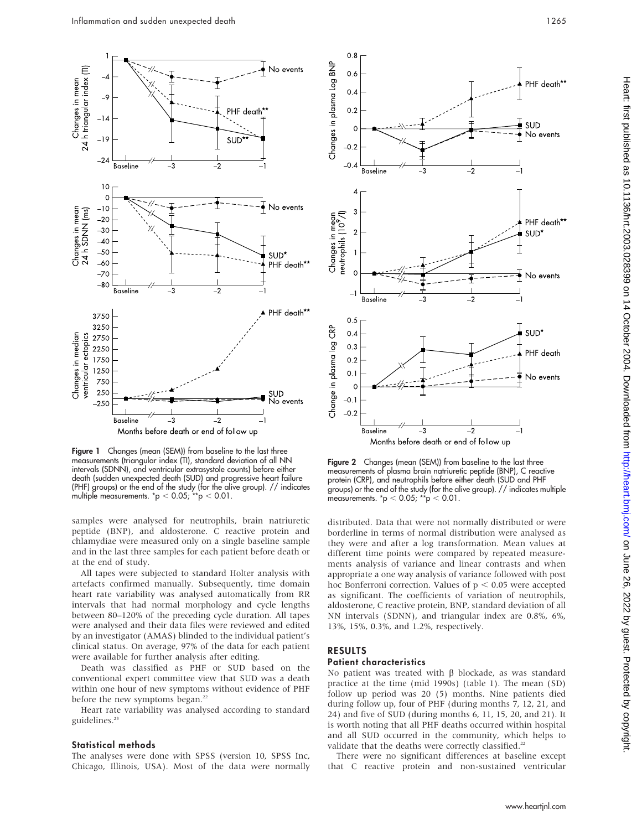

Figure 1 Changes (mean (SEM)) from baseline to the last three measurements (triangular index (TI), standard deviation of all NN intervals (SDNN), and ventricular extrasystole counts) before either death (sudden unexpected death (SUD) and progressive heart failure (PHF) groups) or the end of the study (for the alive group). // indicates multiple measurements.  $p < 0.05$ ;  $\frac{1}{10}$  , 0.01.

samples were analysed for neutrophils, brain natriuretic peptide (BNP), and aldosterone. C reactive protein and chlamydiae were measured only on a single baseline sample and in the last three samples for each patient before death or at the end of study.

All tapes were subjected to standard Holter analysis with artefacts confirmed manually. Subsequently, time domain heart rate variability was analysed automatically from RR intervals that had normal morphology and cycle lengths between 80–120% of the preceding cycle duration. All tapes were analysed and their data files were reviewed and edited by an investigator (AMAS) blinded to the individual patient's clinical status. On average, 97% of the data for each patient were available for further analysis after editing.

Death was classified as PHF or SUD based on the conventional expert committee view that SUD was a death within one hour of new symptoms without evidence of PHF before the new symptoms began.<sup>22</sup>

Heart rate variability was analysed according to standard guidelines.<sup>23</sup>

#### Statistical methods

The analyses were done with SPSS (version 10, SPSS Inc, Chicago, Illinois, USA). Most of the data were normally



Figure 2 Changes (mean (SEM)) from baseline to the last three measurements of plasma brain natriuretic peptide (BNP), C reactive protein (CRP), and neutrophils before either death (SUD and PHF groups) or the end of the study (for the alive group). // indicates multiple measurements. \*p < 0.05; \*\*p < 0.01.

distributed. Data that were not normally distributed or were borderline in terms of normal distribution were analysed as they were and after a log transformation. Mean values at different time points were compared by repeated measurements analysis of variance and linear contrasts and when appropriate a one way analysis of variance followed with post hoc Bonferroni correction. Values of  $p < 0.05$  were accepted as significant. The coefficients of variation of neutrophils, aldosterone, C reactive protein, BNP, standard deviation of all NN intervals (SDNN), and triangular index are 0.8%, 6%, 13%, 15%, 0.3%, and 1.2%, respectively.

### RESULTS

#### Patient characteristics

No patient was treated with  $\beta$  blockade, as was standard practice at the time (mid 1990s) (table 1). The mean (SD) follow up period was 20 (5) months. Nine patients died during follow up, four of PHF (during months 7, 12, 21, and 24) and five of SUD (during months 6, 11, 15, 20, and 21). It is worth noting that all PHF deaths occurred within hospital and all SUD occurred in the community, which helps to validate that the deaths were correctly classified.<sup>22</sup>

There were no significant differences at baseline except that C reactive protein and non-sustained ventricular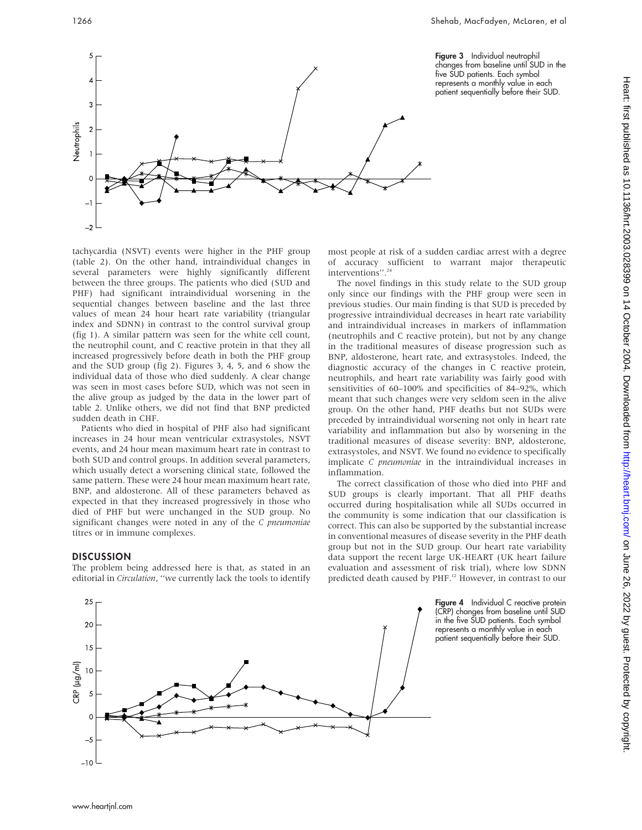



tachycardia (NSVT) events were higher in the PHF group (table 2). On the other hand, intraindividual changes in several parameters were highly significantly different between the three groups. The patients who died (SUD and PHF) had significant intraindividual worsening in the sequential changes between baseline and the last three values of mean 24 hour heart rate variability (triangular index and SDNN) in contrast to the control survival group (fig 1). A similar pattern was seen for the white cell count, the neutrophil count, and C reactive protein in that they all increased progressively before death in both the PHF group and the SUD group (fig 2). Figures 3, 4, 5, and 6 show the individual data of those who died suddenly. A clear change was seen in most cases before SUD, which was not seen in the alive group as judged by the data in the lower part of table 2. Unlike others, we did not find that BNP predicted sudden death in CHF.

Patients who died in hospital of PHF also had significant increases in 24 hour mean ventricular extrasystoles, NSVT events, and 24 hour mean maximum heart rate in contrast to both SUD and control groups. In addition several parameters, which usually detect a worsening clinical state, followed the same pattern. These were 24 hour mean maximum heart rate, BNP, and aldosterone. All of these parameters behaved as expected in that they increased progressively in those who died of PHF but were unchanged in the SUD group. No significant changes were noted in any of the C pneumoniae titres or in immune complexes.

## **DISCUSSION**

The problem being addressed here is that, as stated in an editorial in Circulation, ''we currently lack the tools to identify most people at risk of a sudden cardiac arrest with a degree of accuracy sufficient to warrant major therapeutic interventions''.24

The novel findings in this study relate to the SUD group only since our findings with the PHF group were seen in previous studies. Our main finding is that SUD is preceded by progressive intraindividual decreases in heart rate variability and intraindividual increases in markers of inflammation (neutrophils and C reactive protein), but not by any change in the traditional measures of disease progression such as BNP, aldosterone, heart rate, and extrasystoles. Indeed, the diagnostic accuracy of the changes in C reactive protein, neutrophils, and heart rate variability was fairly good with sensitivities of 60–100% and specificities of 84–92%, which meant that such changes were very seldom seen in the alive group. On the other hand, PHF deaths but not SUDs were preceded by intraindividual worsening not only in heart rate variability and inflammation but also by worsening in the traditional measures of disease severity: BNP, aldosterone, extrasystoles, and NSVT. We found no evidence to specifically implicate C pneumoniae in the intraindividual increases in inflammation.

The correct classification of those who died into PHF and SUD groups is clearly important. That all PHF deaths occurred during hospitalisation while all SUDs occurred in the community is some indication that our classification is correct. This can also be supported by the substantial increase in conventional measures of disease severity in the PHF death group but not in the SUD group. Our heart rate variability data support the recent large UK-HEART (UK heart failure evaluation and assessment of risk trial), where low SDNN predicted death caused by PHF.<sup>12</sup> However, in contrast to our



Figure 4 Individual C reactive protein (CRP) changes from baseline until SUD in the five SUD patients. Each symbol represents a monthly value in each patient sequentially before their SUD.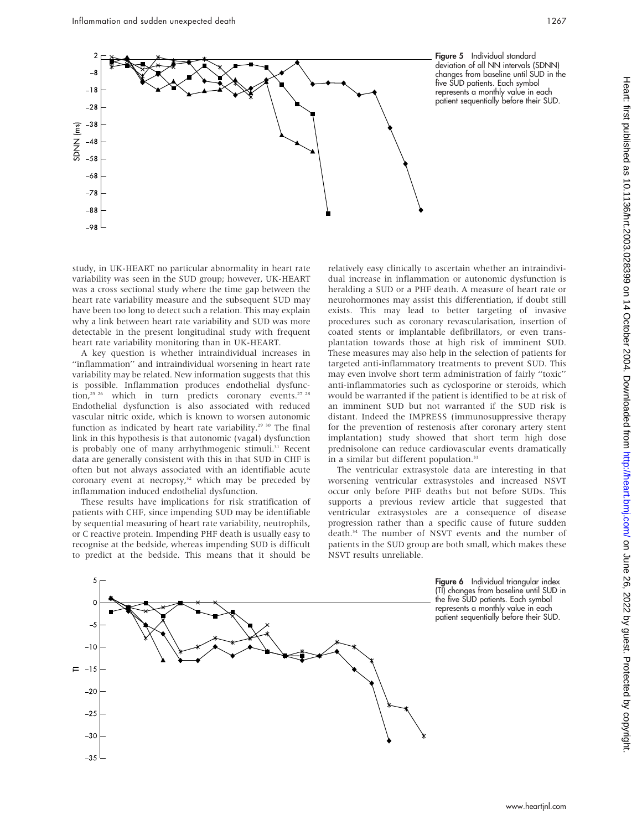

Figure 5 Individual standard deviation of all NN intervals (SDNN) changes from baseline until SUD in the five SUD patients. Each symbol represents a monthly value in each patient sequentially before their SUD.

study, in UK-HEART no particular abnormality in heart rate variability was seen in the SUD group; however, UK-HEART was a cross sectional study where the time gap between the heart rate variability measure and the subsequent SUD may have been too long to detect such a relation. This may explain why a link between heart rate variability and SUD was more detectable in the present longitudinal study with frequent heart rate variability monitoring than in UK-HEART.

A key question is whether intraindividual increases in ''inflammation'' and intraindividual worsening in heart rate variability may be related. New information suggests that this is possible. Inflammation produces endothelial dysfunction,<sup>25 26</sup> which in turn predicts coronary events.<sup>27 28</sup> Endothelial dysfunction is also associated with reduced vascular nitric oxide, which is known to worsen autonomic function as indicated by heart rate variability.<sup>29 30</sup> The final link in this hypothesis is that autonomic (vagal) dysfunction is probably one of many arrhythmogenic stimuli.<sup>31</sup> Recent data are generally consistent with this in that SUD in CHF is often but not always associated with an identifiable acute coronary event at necropsy, $32$  which may be preceded by inflammation induced endothelial dysfunction.

These results have implications for risk stratification of patients with CHF, since impending SUD may be identifiable by sequential measuring of heart rate variability, neutrophils, or C reactive protein. Impending PHF death is usually easy to recognise at the bedside, whereas impending SUD is difficult to predict at the bedside. This means that it should be

relatively easy clinically to ascertain whether an intraindividual increase in inflammation or autonomic dysfunction is heralding a SUD or a PHF death. A measure of heart rate or neurohormones may assist this differentiation, if doubt still exists. This may lead to better targeting of invasive procedures such as coronary revascularisation, insertion of coated stents or implantable defibrillators, or even transplantation towards those at high risk of imminent SUD. These measures may also help in the selection of patients for targeted anti-inflammatory treatments to prevent SUD. This may even involve short term administration of fairly ''toxic'' anti-inflammatories such as cyclosporine or steroids, which would be warranted if the patient is identified to be at risk of an imminent SUD but not warranted if the SUD risk is distant. Indeed the IMPRESS (immunosuppressive therapy for the prevention of restenosis after coronary artery stent implantation) study showed that short term high dose prednisolone can reduce cardiovascular events dramatically in a similar but different population.<sup>33</sup>

The ventricular extrasystole data are interesting in that worsening ventricular extrasystoles and increased NSVT occur only before PHF deaths but not before SUDs. This supports a previous review article that suggested that ventricular extrasystoles are a consequence of disease progression rather than a specific cause of future sudden death.34 The number of NSVT events and the number of patients in the SUD group are both small, which makes these NSVT results unreliable.



Figure 6 Individual triangular index (TI) changes from baseline until SUD in the five SUD patients. Each symbol represents a monthly value in each patient sequentially before their SUD.